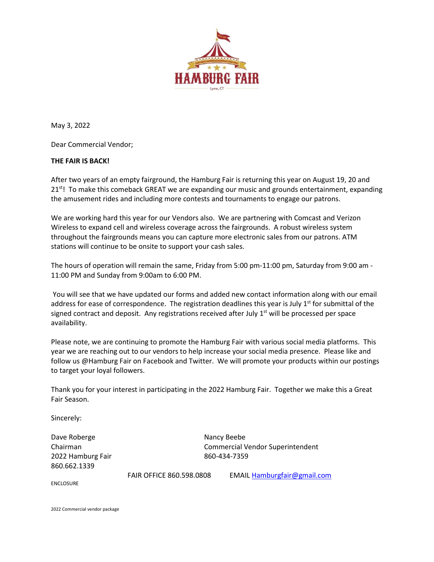

May 3, 2022

Dear Commercial Vendor;

## **THE FAIR IS BACK!**

After two years of an empty fairground, the Hamburg Fair is returning this year on August 19, 20 and 21<sup>st</sup>! To make this comeback GREAT we are expanding our music and grounds entertainment, expanding the amusement rides and including more contests and tournaments to engage our patrons.

We are working hard this year for our Vendors also. We are partnering with Comcast and Verizon Wireless to expand cell and wireless coverage across the fairgrounds. A robust wireless system throughout the fairgrounds means you can capture more electronic sales from our patrons. ATM stations will continue to be onsite to support your cash sales.

The hours of operation will remain the same, Friday from 5:00 pm-11:00 pm, Saturday from 9:00 am - 11:00 PM and Sunday from 9:00am to 6:00 PM.

You will see that we have updated our forms and added new contact information along with our email address for ease of correspondence. The registration deadlines this year is July 1<sup>st</sup> for submittal of the signed contract and deposit. Any registrations received after July 1<sup>st</sup> will be processed per space availability.

Please note, we are continuing to promote the Hamburg Fair with various social media platforms. This year we are reaching out to our vendors to help increase your social media presence. Please like and follow us @Hamburg Fair on Facebook and Twitter. We will promote your products within our postings to target your loyal followers.

Thank you for your interest in participating in the 2022 Hamburg Fair. Together we make this a Great Fair Season.

Sincerely:

Dave Roberge Nancy Beebe 2022 Hamburg Fair 860-434-7359 860.662.1339

Chairman Commercial Vendor Superintendent

ENCLOSURE

FAIR OFFICE 860.598.0808 EMAIL [Hamburgfair@gmail.com](mailto:Hamburgfair@gmail.com)

2022 Commercial vendor package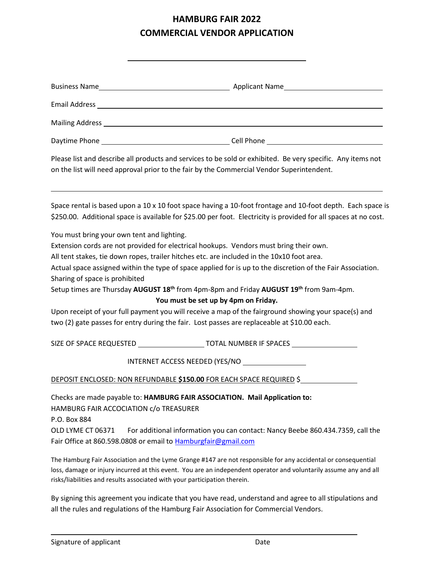## **HAMBURG FAIR 2022 COMMERCIAL VENDOR APPLICATION**

| Email Address experience and the contract of the contract of the contract of the contract of the contract of the contract of the contract of the contract of the contract of the contract of the contract of the contract of t |                                                                                                                                                                                                                                                                                                                                                                                                                                                                                                                                                                                                                                                                      |
|--------------------------------------------------------------------------------------------------------------------------------------------------------------------------------------------------------------------------------|----------------------------------------------------------------------------------------------------------------------------------------------------------------------------------------------------------------------------------------------------------------------------------------------------------------------------------------------------------------------------------------------------------------------------------------------------------------------------------------------------------------------------------------------------------------------------------------------------------------------------------------------------------------------|
|                                                                                                                                                                                                                                |                                                                                                                                                                                                                                                                                                                                                                                                                                                                                                                                                                                                                                                                      |
|                                                                                                                                                                                                                                |                                                                                                                                                                                                                                                                                                                                                                                                                                                                                                                                                                                                                                                                      |
| Please list and describe all products and services to be sold or exhibited. Be very specific. Any items not<br>on the list will need approval prior to the fair by the Commercial Vendor Superintendent.                       |                                                                                                                                                                                                                                                                                                                                                                                                                                                                                                                                                                                                                                                                      |
|                                                                                                                                                                                                                                | Space rental is based upon a 10 x 10 foot space having a 10-foot frontage and 10-foot depth. Each space is<br>\$250.00. Additional space is available for \$25.00 per foot. Electricity is provided for all spaces at no cost.                                                                                                                                                                                                                                                                                                                                                                                                                                       |
| You must bring your own tent and lighting.<br>Sharing of space is prohibited                                                                                                                                                   | Extension cords are not provided for electrical hookups. Vendors must bring their own.<br>All tent stakes, tie down ropes, trailer hitches etc. are included in the 10x10 foot area.<br>Actual space assigned within the type of space applied for is up to the discretion of the Fair Association.<br>Setup times are Thursday AUGUST 18 <sup>th</sup> from 4pm-8pm and Friday AUGUST 19 <sup>th</sup> from 9am-4pm.<br>You must be set up by 4pm on Friday.<br>Upon receipt of your full payment you will receive a map of the fairground showing your space(s) and<br>two (2) gate passes for entry during the fair. Lost passes are replaceable at \$10.00 each. |
|                                                                                                                                                                                                                                | SIZE OF SPACE REQUESTED _________________________TOTAL NUMBER IF SPACES _______________                                                                                                                                                                                                                                                                                                                                                                                                                                                                                                                                                                              |
|                                                                                                                                                                                                                                | INTERNET ACCESS NEEDED (YES/NO                                                                                                                                                                                                                                                                                                                                                                                                                                                                                                                                                                                                                                       |
|                                                                                                                                                                                                                                | DEPOSIT ENCLOSED: NON REFUNDABLE \$150.00 FOR EACH SPACE REQUIRED \$                                                                                                                                                                                                                                                                                                                                                                                                                                                                                                                                                                                                 |
| HAMBURG FAIR ACCOCIATION c/o TREASURER<br>P.O. Box 884<br>OLD LYME CT 06371<br>Fair Office at 860.598.0808 or email to Hamburgfair@gmail.com                                                                                   | Checks are made payable to: HAMBURG FAIR ASSOCIATION. Mail Application to:<br>For additional information you can contact: Nancy Beebe 860.434.7359, call the                                                                                                                                                                                                                                                                                                                                                                                                                                                                                                         |
|                                                                                                                                                                                                                                | The Hamburg Fair Association and the Lyme Grange #147 are not responsible for any accidental or consequential<br>loss, damage or injury incurred at this event. You are an independent operator and voluntarily assume any and all                                                                                                                                                                                                                                                                                                                                                                                                                                   |

risks/liabilities and results associated with your participation therein. By signing this agreement you indicate that you have read, understand and agree to all stipulations and all the rules and regulations of the Hamburg Fair Association for Commercial Vendors.